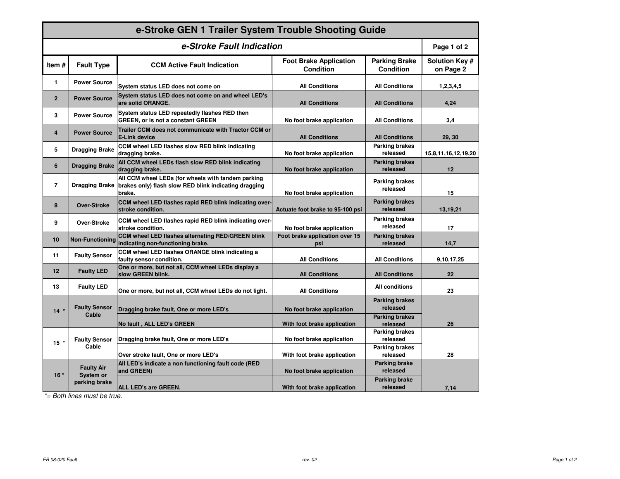| e-Stroke GEN 1 Trailer System Trouble Shooting Guide |                                                        |                                                                                                                                      |                                                   |                                          |                                    |  |
|------------------------------------------------------|--------------------------------------------------------|--------------------------------------------------------------------------------------------------------------------------------------|---------------------------------------------------|------------------------------------------|------------------------------------|--|
| e-Stroke Fault Indication                            |                                                        |                                                                                                                                      |                                                   |                                          | Page 1 of 2                        |  |
| Item#                                                | <b>Fault Type</b>                                      | <b>CCM Active Fault Indication</b>                                                                                                   | <b>Foot Brake Application</b><br><b>Condition</b> | <b>Parking Brake</b><br><b>Condition</b> | <b>Solution Key #</b><br>on Page 2 |  |
| 1                                                    | <b>Power Source</b>                                    | System status LED does not come on                                                                                                   | <b>All Conditions</b>                             | <b>All Conditions</b>                    | 1,2,3,4,5                          |  |
| $\overline{2}$                                       | <b>Power Source</b>                                    | System status LED does not come on and wheel LED's<br>are solid ORANGE.                                                              | <b>All Conditions</b>                             | <b>All Conditions</b>                    | 4.24                               |  |
| 3                                                    | <b>Power Source</b>                                    | System status LED repeatedly flashes RED then<br>GREEN, or is not a constant GREEN                                                   | No foot brake application                         | <b>All Conditions</b>                    | 3,4                                |  |
| 4                                                    | <b>Power Source</b>                                    | Trailer CCM does not communicate with Tractor CCM or<br><b>E-Link device</b>                                                         | <b>All Conditions</b>                             | <b>All Conditions</b>                    | 29, 30                             |  |
| 5                                                    | <b>Dragging Brake</b>                                  | CCM wheel LED flashes slow RED blink indicating<br>dragging brake.                                                                   | No foot brake application                         | <b>Parking brakes</b><br>released        | 15,8,11,16,12,19,20                |  |
| 6                                                    | <b>Dragging Brake</b>                                  | All CCM wheel LEDs flash slow RED blink indicating<br>dragging brake.                                                                | No foot brake application                         | <b>Parking brakes</b><br>released        | 12                                 |  |
| $\overline{7}$                                       |                                                        | All CCM wheel LEDs (for wheels with tandem parking<br>Dragging Brake brakes only) flash slow RED blink indicating dragging<br>brake. | No foot brake application                         | <b>Parking brakes</b><br>released        | 15                                 |  |
| 8                                                    | <b>Over-Stroke</b>                                     | CCM wheel LED flashes rapid RED blink indicating over-<br>stroke condition.                                                          | Actuate foot brake to 95-100 psi                  | <b>Parking brakes</b><br>released        | 13,19,21                           |  |
| 9                                                    | Over-Stroke                                            | CCM wheel LED flashes rapid RED blink indicating over-<br>stroke condition.                                                          | No foot brake application                         | <b>Parking brakes</b><br>released        | 17                                 |  |
| 10                                                   | <b>Non-Functioning</b>                                 | CCM wheel LED flashes alternating RED/GREEN blink<br>indicating non-functioning brake.                                               | Foot brake application over 15<br>psi             | <b>Parking brakes</b><br>released        | 14,7                               |  |
| 11                                                   | <b>Faulty Sensor</b>                                   | CCM wheel LED flashes ORANGE blink indicating a<br>faulty sensor condition.                                                          | <b>All Conditions</b>                             | <b>All Conditions</b>                    | 9,10,17,25                         |  |
| 12                                                   | <b>Faulty LED</b>                                      | One or more, but not all, CCM wheel LEDs display a<br>slow GREEN blink.                                                              | <b>All Conditions</b>                             | <b>All Conditions</b>                    | 22                                 |  |
| 13                                                   | <b>Faulty LED</b>                                      | One or more, but not all, CCM wheel LEDs do not light.                                                                               | <b>All Conditions</b>                             | <b>All conditions</b>                    | 23                                 |  |
| $14$ *                                               | <b>Faulty Sensor</b><br>Cable                          | Dragging brake fault, One or more LED's                                                                                              | No foot brake application                         | <b>Parking brakes</b><br>released        |                                    |  |
|                                                      |                                                        | No fault, ALL LED's GREEN                                                                                                            | With foot brake application                       | <b>Parking brakes</b><br>released        | 26                                 |  |
| $15$ *                                               | <b>Faulty Sensor</b><br>Cable                          | Dragging brake fault, One or more LED's                                                                                              | No foot brake application                         | <b>Parking brakes</b><br>released        |                                    |  |
|                                                      |                                                        | Over stroke fault, One or more LED's                                                                                                 | With foot brake application                       | <b>Parking brakes</b><br>released        | 28                                 |  |
| $16*$                                                | <b>Faulty Air</b><br><b>System or</b><br>parking brake | All LED's indicate a non functioning fault code (RED<br>and GREEN)                                                                   | No foot brake application                         | Parking brake<br>released                |                                    |  |
|                                                      |                                                        | <b>ALL LED's are GREEN.</b>                                                                                                          | With foot brake application                       | <b>Parking brake</b><br>released         | 7,14                               |  |

\*= Both lines must be true.